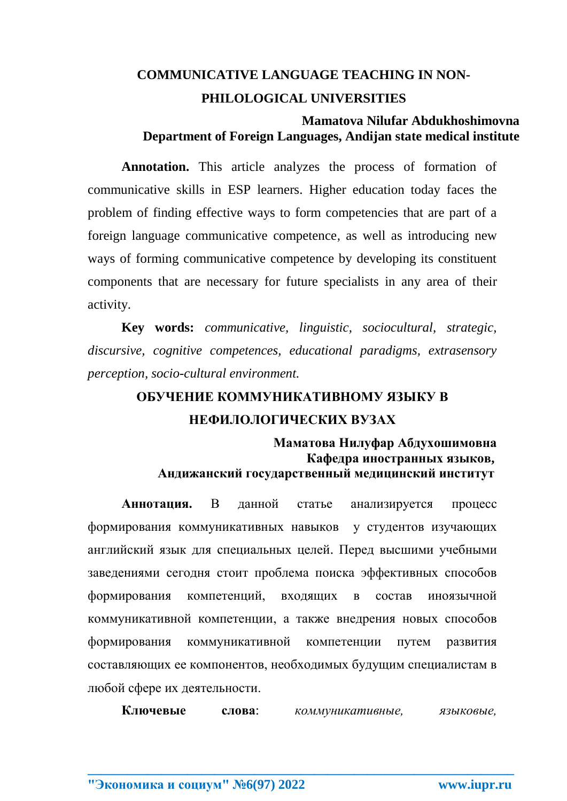## **COMMUNICATIVE LANGUAGE TEACHING IN NON-**PHILOLOGICAL UNIVERSITIES

#### Mamatova Nilufar Abdukhoshimovna Department of Foreign Languages, Andijan state medical institute

**Annotation.** This article analyzes the process of formation of communicative skills in ESP learners. Higher education today faces the problem of finding effective ways to form competencies that are part of a foreign language communicative competence, as well as introducing new ways of forming communicative competence by developing its constituent components that are necessary for future specialists in any area of their activity.

Key words: communicative, linguistic, sociocultural, strategic, discursive, cognitive competences, educational paradigms, extrasensory perception, socio-cultural environment.

# ОБУЧЕНИЕ КОММУНИКАТИВНОМУ ЯЗЫКУ В НЕФИЛОЛОГИЧЕСКИХ ВУЗАХ

#### Маматова Нилуфар Абдухошимовна Кафедра иностранных языков, Андижанский государственный медицинский институт

Аннотация. <sub>B</sub> ланной статье анализируется процесс формирования коммуникативных навыков у студентов изучающих английский язык для специальных целей. Перед высшими учебными заведениями сегодня стоит проблема поиска эффективных способов формирования компетенций. вхоляних  $\overline{R}$ **COCTAB** иноязычной коммуникативной компетенции, а также внедрения новых способов коммуникативной формирования компетенции путем развития составляющих ее компонентов, необходимых будущим специалистам в любой сфере их деятельности.

Ключевые СЛОВЯ\* коммуникативные, языковые.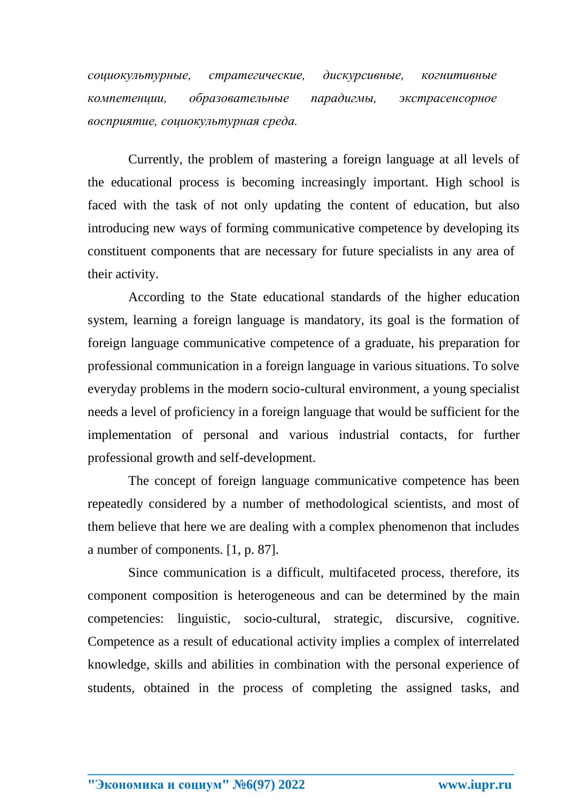*социокультурные, стратегические, дискурсивные, когнитивные компетенции, образовательные парадигмы, экстрасенсорное восприятие, социокультурная среда.*

Currently, the problem of mastering a foreign language at all levels of the educational process is becoming increasingly important. High school is faced with the task of not only updating the content of education, but also introducing new ways of forming communicative competence by developing its constituent components that are necessary for future specialists in any area of their activity.

According to the State educational standards of the higher education system, learning a foreign language is mandatory, its goal is the formation of foreign language communicative competence of a graduate, his preparation for professional communication in a foreign language in various situations. To solve everyday problems in the modern socio-cultural environment, a young specialist needs a level of proficiency in a foreign language that would be sufficient for the implementation of personal and various industrial contacts, for further professional growth and self-development.

The concept of foreign language communicative competence has been repeatedly considered by a number of methodological scientists, and most of them believe that here we are dealing with a complex phenomenon that includes a number of components. [1, p. 87].

Since communication is a difficult, multifaceted process, therefore, its component composition is heterogeneous and can be determined by the main competencies: linguistic, socio-cultural, strategic, discursive, cognitive. Competence as a result of educational activity implies a complex of interrelated knowledge, skills and abilities in combination with the personal experience of students, obtained in the process of completing the assigned tasks, and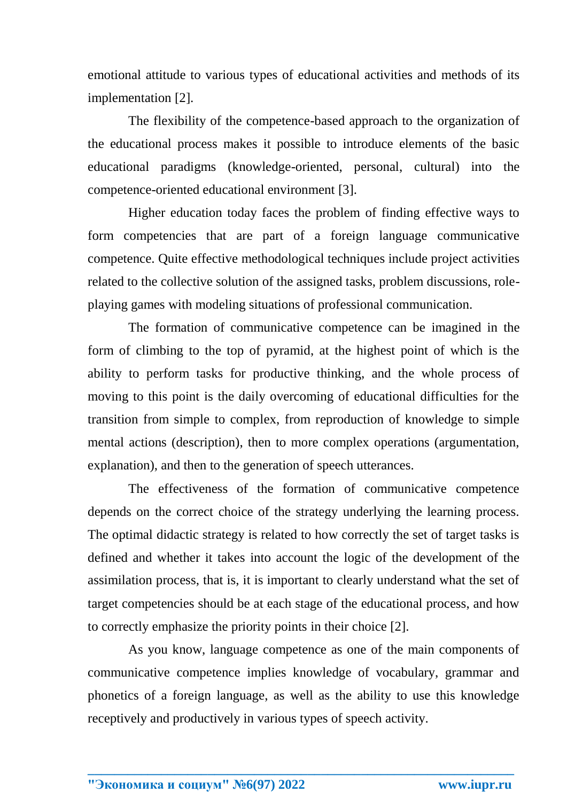emotional attitude to various types of educational activities and methods of its implementation [2].

The flexibility of the competence-based approach to the organization of the educational process makes it possible to introduce elements of the basic educational paradigms (knowledge-oriented, personal, cultural) into the competence-oriented educational environment [3].

Higher education today faces the problem of finding effective ways to form competencies that are part of a foreign language communicative competence. Quite effective methodological techniques include project activities related to the collective solution of the assigned tasks, problem discussions, roleplaying games with modeling situations of professional communication.

The formation of communicative competence can be imagined in the form of climbing to the top of pyramid, at the highest point of which is the ability to perform tasks for productive thinking, and the whole process of moving to this point is the daily overcoming of educational difficulties for the transition from simple to complex, from reproduction of knowledge to simple mental actions (description), then to more complex operations (argumentation, explanation), and then to the generation of speech utterances.

The effectiveness of the formation of communicative competence depends on the correct choice of the strategy underlying the learning process. The optimal didactic strategy is related to how correctly the set of target tasks is defined and whether it takes into account the logic of the development of the assimilation process, that is, it is important to clearly understand what the set of target competencies should be at each stage of the educational process, and how to correctly emphasize the priority points in their choice [2].

As you know, language competence as one of the main components of communicative competence implies knowledge of vocabulary, grammar and phonetics of a foreign language, as well as the ability to use this knowledge receptively and productively in various types of speech activity.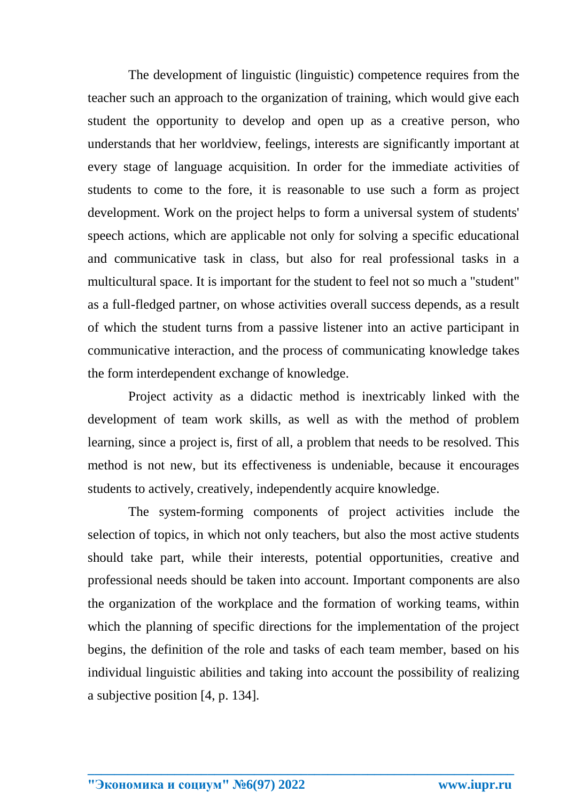The development of linguistic (linguistic) competence requires from the teacher such an approach to the organization of training, which would give each student the opportunity to develop and open up as a creative person, who understands that her worldview, feelings, interests are significantly important at every stage of language acquisition. In order for the immediate activities of students to come to the fore, it is reasonable to use such a form as project development. Work on the project helps to form a universal system of students' speech actions, which are applicable not only for solving a specific educational and communicative task in class, but also for real professional tasks in a multicultural space. It is important for the student to feel not so much a "student" as a full-fledged partner, on whose activities overall success depends, as a result of which the student turns from a passive listener into an active participant in communicative interaction, and the process of communicating knowledge takes the form interdependent exchange of knowledge.

Project activity as a didactic method is inextricably linked with the development of team work skills, as well as with the method of problem learning, since a project is, first of all, a problem that needs to be resolved. This method is not new, but its effectiveness is undeniable, because it encourages students to actively, creatively, independently acquire knowledge.

The system-forming components of project activities include the selection of topics, in which not only teachers, but also the most active students should take part, while their interests, potential opportunities, creative and professional needs should be taken into account. Important components are also the organization of the workplace and the formation of working teams, within which the planning of specific directions for the implementation of the project begins, the definition of the role and tasks of each team member, based on his individual linguistic abilities and taking into account the possibility of realizing a subjective position [4, p. 134].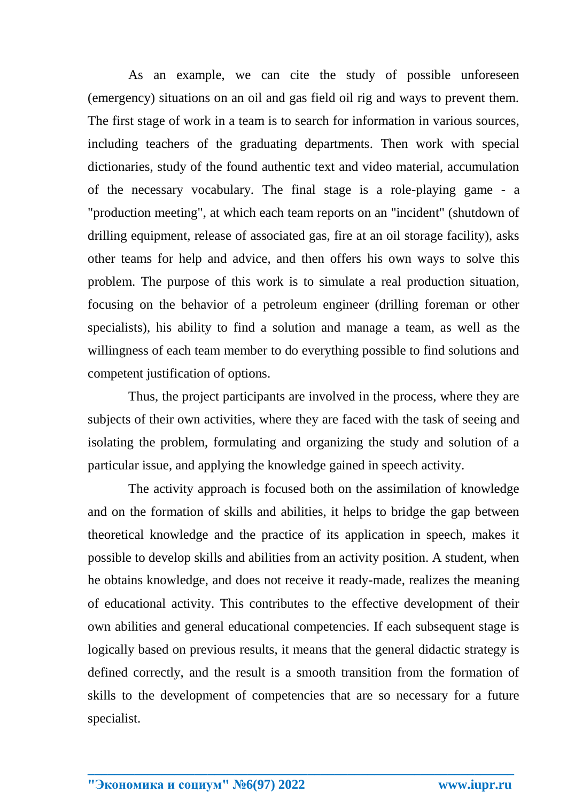As an example, we can cite the study of possible unforeseen (emergency) situations on an oil and gas field oil rig and ways to prevent them. The first stage of work in a team is to search for information in various sources, including teachers of the graduating departments. Then work with special dictionaries, study of the found authentic text and video material, accumulation of the necessary vocabulary. The final stage is a role-playing game - a "production meeting", at which each team reports on an "incident" (shutdown of drilling equipment, release of associated gas, fire at an oil storage facility), asks other teams for help and advice, and then offers his own ways to solve this problem. The purpose of this work is to simulate a real production situation, focusing on the behavior of a petroleum engineer (drilling foreman or other specialists), his ability to find a solution and manage a team, as well as the willingness of each team member to do everything possible to find solutions and competent justification of options.

Thus, the project participants are involved in the process, where they are subjects of their own activities, where they are faced with the task of seeing and isolating the problem, formulating and organizing the study and solution of a particular issue, and applying the knowledge gained in speech activity.

The activity approach is focused both on the assimilation of knowledge and on the formation of skills and abilities, it helps to bridge the gap between theoretical knowledge and the practice of its application in speech, makes it possible to develop skills and abilities from an activity position. A student, when he obtains knowledge, and does not receive it ready-made, realizes the meaning of educational activity. This contributes to the effective development of their own abilities and general educational competencies. If each subsequent stage is logically based on previous results, it means that the general didactic strategy is defined correctly, and the result is a smooth transition from the formation of skills to the development of competencies that are so necessary for a future specialist.